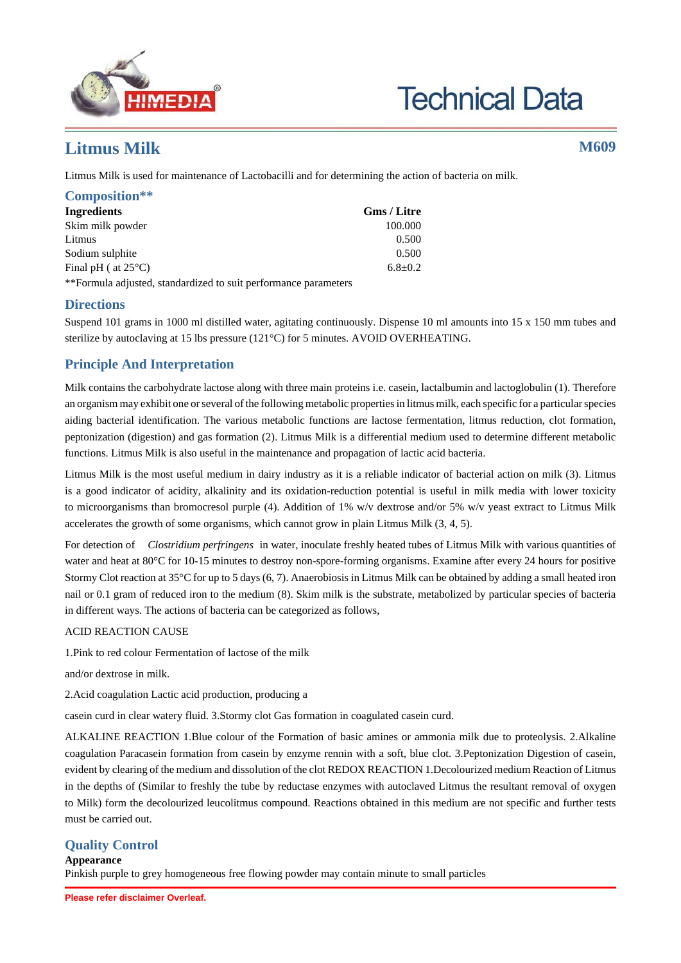

# **Technical Data**

## **Litmus Milk M609**

Litmus Milk is used for maintenance of Lactobacilli and for determining the action of bacteria on milk.

| Composition**                 |               |
|-------------------------------|---------------|
| Ingredients                   | Gms / Litre   |
| Skim milk powder              | 100.000       |
| Litmus                        | 0.500         |
| Sodium sulphite               | 0.500         |
| Final pH ( at $25^{\circ}$ C) | $6.8 \pm 0.2$ |
|                               |               |

\*\*Formula adjusted, standardized to suit performance parameters

## **Directions**

Suspend 101 grams in 1000 ml distilled water, agitating continuously. Dispense 10 ml amounts into 15 x 150 mm tubes and sterilize by autoclaving at 15 lbs pressure (121°C) for 5 minutes. AVOID OVERHEATING.

## **Principle And Interpretation**

Milk contains the carbohydrate lactose along with three main proteins i.e. casein, lactalbumin and lactoglobulin (1). Therefore an organism may exhibit one or several of the following metabolic properties in litmus milk, each specific for a particular species aiding bacterial identification. The various metabolic functions are lactose fermentation, litmus reduction, clot formation, peptonization (digestion) and gas formation (2). Litmus Milk is a differential medium used to determine different metabolic functions. Litmus Milk is also useful in the maintenance and propagation of lactic acid bacteria.

Litmus Milk is the most useful medium in dairy industry as it is a reliable indicator of bacterial action on milk (3). Litmus is a good indicator of acidity, alkalinity and its oxidation-reduction potential is useful in milk media with lower toxicity to microorganisms than bromocresol purple (4). Addition of 1% w/v dextrose and/or 5% w/v yeast extract to Litmus Milk accelerates the growth of some organisms, which cannot grow in plain Litmus Milk (3, 4, 5).

For detection of *Clostridium perfringens* in water, inoculate freshly heated tubes of Litmus Milk with various quantities of water and heat at 80°C for 10-15 minutes to destroy non-spore-forming organisms. Examine after every 24 hours for positive Stormy Clot reaction at 35°C for up to 5 days (6, 7). Anaerobiosis in Litmus Milk can be obtained by adding a small heated iron nail or 0.1 gram of reduced iron to the medium (8). Skim milk is the substrate, metabolized by particular species of bacteria in different ways. The actions of bacteria can be categorized as follows,

### ACID REACTION CAUSE

1.Pink to red colour Fermentation of lactose of the milk

and/or dextrose in milk.

2.Acid coagulation Lactic acid production, producing a

casein curd in clear watery fluid. 3.Stormy clot Gas formation in coagulated casein curd.

ALKALINE REACTION 1.Blue colour of the Formation of basic amines or ammonia milk due to proteolysis. 2.Alkaline coagulation Paracasein formation from casein by enzyme rennin with a soft, blue clot. 3.Peptonization Digestion of casein, evident by clearing of the medium and dissolution of the clot REDOX REACTION 1.Decolourized medium Reaction of Litmus in the depths of (Similar to freshly the tube by reductase enzymes with autoclaved Litmus the resultant removal of oxygen to Milk) form the decolourized leucolitmus compound. Reactions obtained in this medium are not specific and further tests must be carried out.

## **Quality Control**

**Appearance** Pinkish purple to grey homogeneous free flowing powder may contain minute to small particles